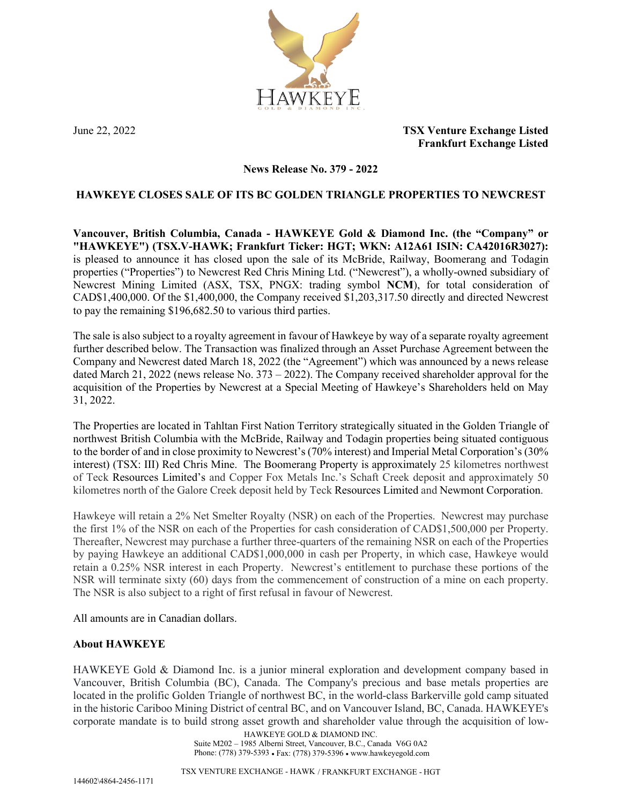

June 22, 2022 **TSX Venture Exchange Listed Frankfurt Exchange Listed**

### **News Release No. 379 - 2022**

## **HAWKEYE CLOSES SALE OF ITS BC GOLDEN TRIANGLE PROPERTIES TO NEWCREST**

**Vancouver, British Columbia, Canada - HAWKEYE Gold & Diamond Inc. (the "Company" or "HAWKEYE") (TSX.V-HAWK; Frankfurt Ticker: HGT; WKN: A12A61 ISIN: CA42016R3027):** is pleased to announce it has closed upon the sale of its McBride, Railway, Boomerang and Todagin properties ("Properties") to Newcrest Red Chris Mining Ltd. ("Newcrest"), a wholly-owned subsidiary of Newcrest Mining Limited (ASX, TSX, PNGX: trading symbol **NCM**), for total consideration of CAD\$1,400,000. Of the \$1,400,000, the Company received \$1,203,317.50 directly and directed Newcrest to pay the remaining \$196,682.50 to various third parties.

The sale is also subject to a royalty agreement in favour of Hawkeye by way of a separate royalty agreement further described below. The Transaction was finalized through an Asset Purchase Agreement between the Company and Newcrest dated March 18, 2022 (the "Agreement") which was announced by a news release dated March 21, 2022 (news release No. 373 – 2022). The Company received shareholder approval for the acquisition of the Properties by Newcrest at a Special Meeting of Hawkeye's Shareholders held on May 31, 2022.

The Properties are located in Tahltan First Nation Territory strategically situated in the Golden Triangle of northwest British Columbia with the McBride, Railway and Todagin properties being situated contiguous to the border of and in close proximity to Newcrest's (70% interest) and Imperial Metal Corporation's (30% interest) (TSX: III) Red Chris Mine. The Boomerang Property is approximately 25 kilometres northwest of Teck Resources Limited's and Copper Fox Metals Inc.'s Schaft Creek deposit and approximately 50 kilometres north of the Galore Creek deposit held by Teck Resources Limited and Newmont Corporation.

Hawkeye will retain a 2% Net Smelter Royalty (NSR) on each of the Properties. Newcrest may purchase the first 1% of the NSR on each of the Properties for cash consideration of CAD\$1,500,000 per Property. Thereafter, Newcrest may purchase a further three-quarters of the remaining NSR on each of the Properties by paying Hawkeye an additional CAD\$1,000,000 in cash per Property, in which case, Hawkeye would retain a 0.25% NSR interest in each Property. Newcrest's entitlement to purchase these portions of the NSR will terminate sixty (60) days from the commencement of construction of a mine on each property. The NSR is also subject to a right of first refusal in favour of Newcrest.

All amounts are in Canadian dollars.

### **About HAWKEYE**

HAWKEYE Gold & Diamond Inc. is a junior mineral exploration and development company based in Vancouver, British Columbia (BC), Canada. The Company's precious and base metals properties are located in the prolific Golden Triangle of northwest BC, in the world-class Barkerville gold camp situated in the historic Cariboo Mining District of central BC, and on Vancouver Island, BC, Canada. HAWKEYE's corporate mandate is to build strong asset growth and shareholder value through the acquisition of low-

HAWKEYE GOLD & DIAMOND INC. Suite M202 – 1985 Alberni Street, Vancouver, B.C., Canada V6G 0A2 Phone: (778) 379-5393 • Fax: (778) 379-5396 • www.hawkeyegold.com